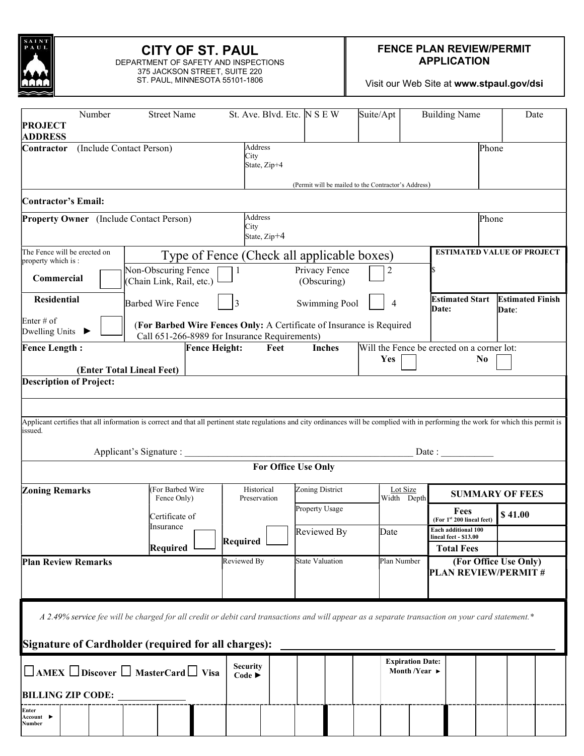

# CITY OF ST. PAUL

DEPARTMENT OF SAFETY AND INSPECTIONS 375 JACKSON STREET, SUITE 220 ST. PAUL, MINNESOTA 55101-1806

#### FENCE PLAN REVIEW/PERMIT APPLICATION

Visit our Web Site at www.stpaul.gov/dsi

| Number<br><b>PROJECT</b>                                                                                                                                                                                | <b>Street Name</b>                                                                                                    |                      | St. Ave. Blvd. Etc. N S E W                                  |                              | Suite/Apt                                           | <b>Building Name</b>                                         | Date                              |  |
|---------------------------------------------------------------------------------------------------------------------------------------------------------------------------------------------------------|-----------------------------------------------------------------------------------------------------------------------|----------------------|--------------------------------------------------------------|------------------------------|-----------------------------------------------------|--------------------------------------------------------------|-----------------------------------|--|
| <b>ADDRESS</b><br>Contractor                                                                                                                                                                            | (Include Contact Person)                                                                                              |                      | Address<br>City<br>State, Zip+4                              |                              | (Permit will be mailed to the Contractor's Address) | Phone                                                        |                                   |  |
| Contractor's Email:                                                                                                                                                                                     |                                                                                                                       |                      |                                                              |                              |                                                     |                                                              |                                   |  |
| <b>Property Owner</b> (Include Contact Person)                                                                                                                                                          |                                                                                                                       |                      | Address<br>City<br>State, Zip+4                              |                              |                                                     | Phone                                                        |                                   |  |
| The Fence will be erected on<br>property which is:                                                                                                                                                      |                                                                                                                       |                      | Type of Fence (Check all applicable boxes)                   |                              |                                                     |                                                              | <b>ESTIMATED VALUE OF PROJECT</b> |  |
| Commercial                                                                                                                                                                                              | Non-Obscuring Fence<br>(Chain Link, Rail, etc.)                                                                       |                      |                                                              | Privacy Fence<br>(Obscuring) | 2                                                   |                                                              |                                   |  |
| <b>Residential</b>                                                                                                                                                                                      | <b>Barbed Wire Fence</b>                                                                                              | $\vert 3 \vert$      |                                                              | <b>Swimming Pool</b>         | 4                                                   | <b>Estimated Start</b><br>Date:                              | <b>Estimated Finish</b><br>Date:  |  |
| Enter $#$ of<br>Dwelling Units                                                                                                                                                                          | (For Barbed Wire Fences Only: A Certificate of Insurance is Required<br>Call 651-266-8989 for Insurance Requirements) |                      |                                                              |                              |                                                     |                                                              |                                   |  |
| <b>Fence Length:</b>                                                                                                                                                                                    | (Enter Total Lineal Feet)                                                                                             | <b>Fence Height:</b> | Feet                                                         | <b>Inches</b>                | Yes                                                 | Will the Fence be erected on a corner lot:<br>N <sub>0</sub> |                                   |  |
| <b>Description of Project:</b>                                                                                                                                                                          |                                                                                                                       |                      |                                                              |                              |                                                     |                                                              |                                   |  |
|                                                                                                                                                                                                         |                                                                                                                       |                      |                                                              |                              |                                                     |                                                              |                                   |  |
| Applicant certifies that all information is correct and that all pertinent state regulations and city ordinances will be complied with in performing the work for which this permit is<br>issued.       | Applicant's Signature :                                                                                               |                      |                                                              |                              |                                                     | Date :                                                       |                                   |  |
|                                                                                                                                                                                                         |                                                                                                                       |                      | For Office Use Only                                          |                              |                                                     |                                                              |                                   |  |
| <b>Zoning Remarks</b>                                                                                                                                                                                   | (For Barbed Wire<br>Fence Only)<br>Certificate of                                                                     |                      | Historical<br>Preservation                                   | Zoning District              | Lot Size<br>Width Depth                             |                                                              | <b>SUMMARY OF FEES</b>            |  |
|                                                                                                                                                                                                         |                                                                                                                       |                      |                                                              | Property Usage               |                                                     | Fees<br>(For 1st 200 lineal feet)                            | \$41.00                           |  |
|                                                                                                                                                                                                         | Insurance                                                                                                             | Required             |                                                              | Reviewed By                  | Date                                                | Each additional 100<br>lineal feet - \$13.00                 |                                   |  |
| Required                                                                                                                                                                                                |                                                                                                                       |                      |                                                              |                              |                                                     | <b>Total Fees</b>                                            |                                   |  |
| <b>Plan Review Remarks</b>                                                                                                                                                                              |                                                                                                                       | Reviewed By          |                                                              | State Valuation              | Plan Number                                         | <b>PLAN REVIEW/PERMIT#</b>                                   | (For Office Use Only)             |  |
| A 2.49% service fee will be charged for all credit or debit card transactions and will appear as a separate transaction on your card statement.*<br>Signature of Cardholder (required for all charges): |                                                                                                                       |                      |                                                              |                              |                                                     |                                                              |                                   |  |
| $\Box$ AMEX $\Box$ Discover $\Box$ MasterCard $\Box$ Visa                                                                                                                                               | <b>Security</b><br>Code $\blacktriangleright$                                                                         |                      | <b>Expiration Date:</b><br>Month /Year $\blacktriangleright$ |                              |                                                     |                                                              |                                   |  |
| <b>BILLING ZIP CODE:</b>                                                                                                                                                                                |                                                                                                                       |                      |                                                              |                              |                                                     |                                                              |                                   |  |
| Enter<br>Account l<br>Number                                                                                                                                                                            |                                                                                                                       |                      |                                                              |                              |                                                     |                                                              |                                   |  |